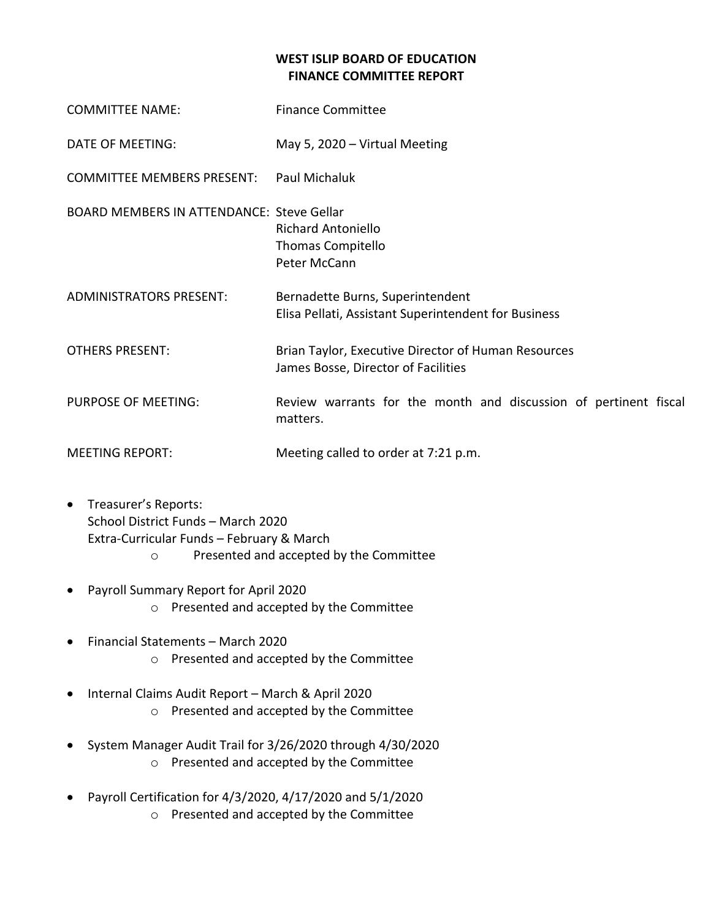## **WEST ISLIP BOARD OF EDUCATION FINANCE COMMITTEE REPORT**

| <b>COMMITTEE NAME:</b>                           | <b>Finance Committee</b>                                                                   |
|--------------------------------------------------|--------------------------------------------------------------------------------------------|
| DATE OF MEETING:                                 | May 5, 2020 - Virtual Meeting                                                              |
| <b>COMMITTEE MEMBERS PRESENT:</b>                | Paul Michaluk                                                                              |
| <b>BOARD MEMBERS IN ATTENDANCE: Steve Gellar</b> | <b>Richard Antoniello</b><br>Thomas Compitello<br>Peter McCann                             |
| <b>ADMINISTRATORS PRESENT:</b>                   | Bernadette Burns, Superintendent<br>Elisa Pellati, Assistant Superintendent for Business   |
| <b>OTHERS PRESENT:</b>                           | Brian Taylor, Executive Director of Human Resources<br>James Bosse, Director of Facilities |
| <b>PURPOSE OF MEETING:</b>                       | Review warrants for the month and discussion of pertinent fiscal<br>matters.               |
| <b>MEETING REPORT:</b>                           | Meeting called to order at 7:21 p.m.                                                       |

- Treasurer's Reports: School District Funds – March 2020 Extra-Curricular Funds – February & March o Presented and accepted by the Committee
- Payroll Summary Report for April 2020 o Presented and accepted by the Committee
- Financial Statements March 2020 o Presented and accepted by the Committee
- Internal Claims Audit Report March & April 2020 o Presented and accepted by the Committee
- System Manager Audit Trail for 3/26/2020 through 4/30/2020 o Presented and accepted by the Committee
- Payroll Certification for 4/3/2020, 4/17/2020 and 5/1/2020
	- o Presented and accepted by the Committee